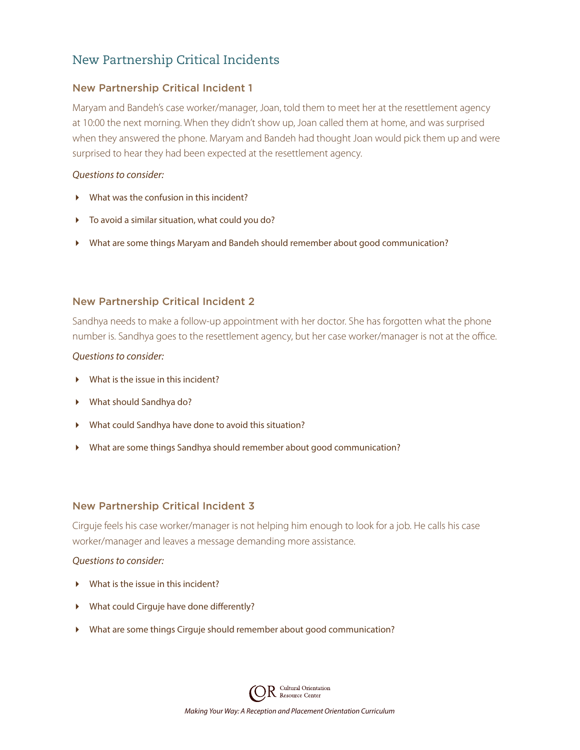# New Partnership Critical Incidents

## New Partnership Critical Incident 1

Maryam and Bandeh's case worker/manager, Joan, told them to meet her at the resettlement agency at 10:00 the next morning. When they didn't show up, Joan called them at home, and was surprised when they answered the phone. Maryam and Bandeh had thought Joan would pick them up and were surprised to hear they had been expected at the resettlement agency.

#### *Questions to consider:*

- What was the confusion in this incident?
- To avoid a similar situation, what could you do?
- What are some things Maryam and Bandeh should remember about good communication?

## New Partnership Critical Incident 2

Sandhya needs to make a follow-up appointment with her doctor. She has forgotten what the phone number is. Sandhya goes to the resettlement agency, but her case worker/manager is not at the office.

#### *Questions to consider:*

- What is the issue in this incident?
- What should Sandhya do?
- What could Sandhya have done to avoid this situation?
- What are some things Sandhya should remember about good communication?

## New Partnership Critical Incident 3

Cirguje feels his case worker/manager is not helping him enough to look for a job. He calls his case worker/manager and leaves a message demanding more assistance.

#### *Questions to consider:*

- What is the issue in this incident?
- What could Cirguje have done differently?
- What are some things Cirguje should remember about good communication?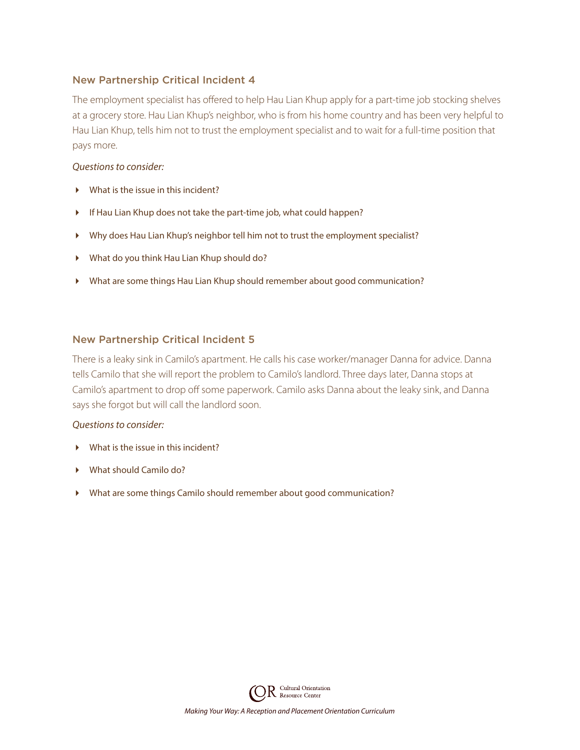## New Partnership Critical Incident 4

The employment specialist has offered to help Hau Lian Khup apply for a part-time job stocking shelves at a grocery store. Hau Lian Khup's neighbor, who is from his home country and has been very helpful to Hau Lian Khup, tells him not to trust the employment specialist and to wait for a full-time position that pays more.

#### *Questions to consider:*

- What is the issue in this incident?
- If Hau Lian Khup does not take the part-time job, what could happen?
- Why does Hau Lian Khup's neighbor tell him not to trust the employment specialist?
- What do you think Hau Lian Khup should do?
- What are some things Hau Lian Khup should remember about good communication?

## New Partnership Critical Incident 5

There is a leaky sink in Camilo's apartment. He calls his case worker/manager Danna for advice. Danna tells Camilo that she will report the problem to Camilo's landlord. Three days later, Danna stops at Camilo's apartment to drop off some paperwork. Camilo asks Danna about the leaky sink, and Danna says she forgot but will call the landlord soon.

#### *Questions to consider:*

- What is the issue in this incident?
- What should Camilo do?
- What are some things Camilo should remember about good communication?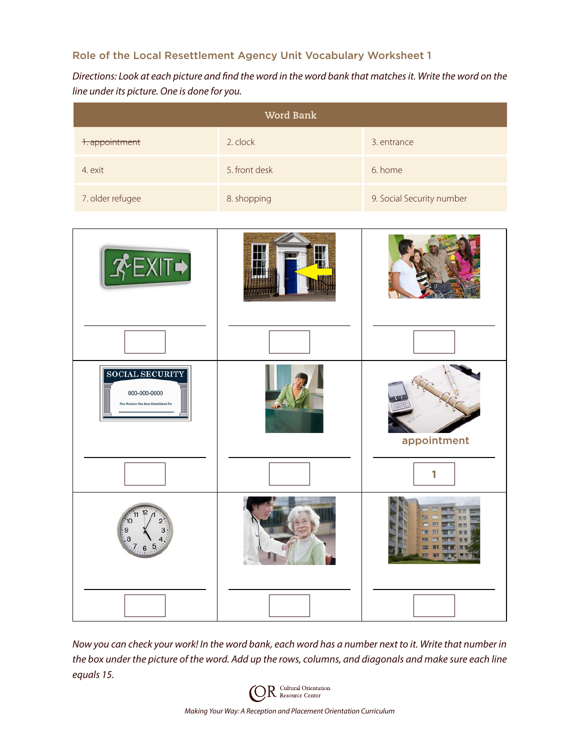## Role of the Local Resettlement Agency Unit Vocabulary Worksheet 1

*Directions: Look at each picture and find the word in the word bank that matches it. Write the word on the line under its picture. One is done for you.*

| Word Bank        |               |                           |  |  |  |  |  |  |  |  |
|------------------|---------------|---------------------------|--|--|--|--|--|--|--|--|
| 1. appointment   | 2. clock      | 3. entrance               |  |  |  |  |  |  |  |  |
| 4. exit          | 5. front desk | 6. home                   |  |  |  |  |  |  |  |  |
| 7. older refugee | 8. shopping   | 9. Social Security number |  |  |  |  |  |  |  |  |



*Now you can check your work! In the word bank, each word has a number next to it. Write that number in the box under the picture of the word. Add up the rows, columns, and diagonals and make sure each line equals 15.*